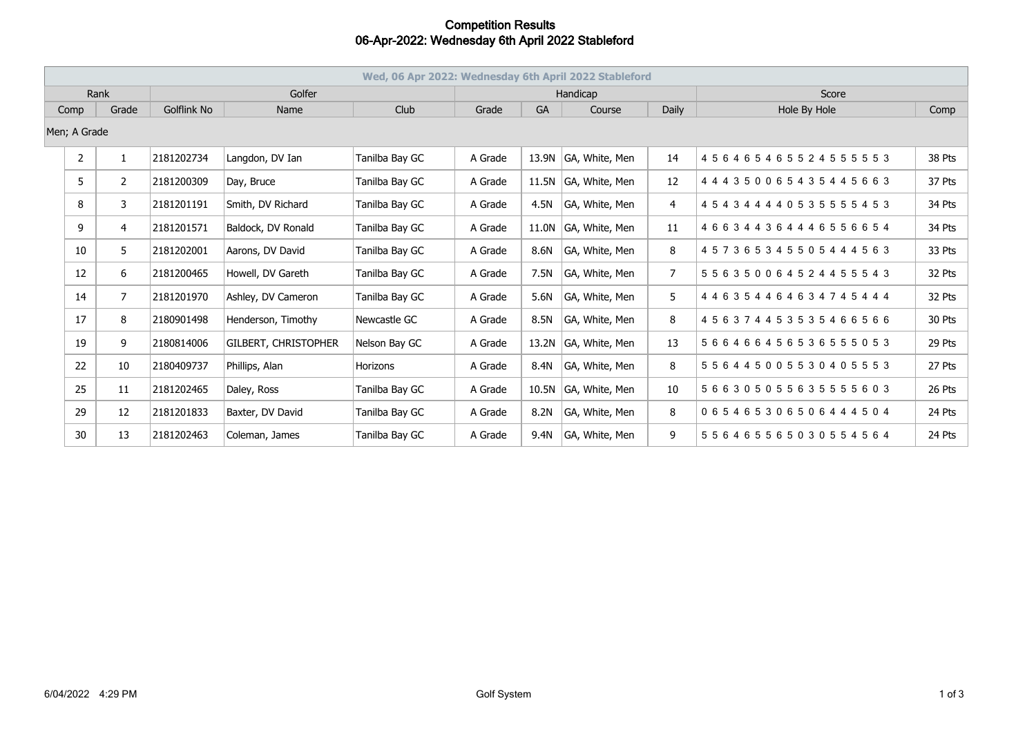## **Competition Results 06-Apr-2022: Wednesday 6th April 2022 Stableford**

| Wed, 06 Apr 2022: Wednesday 6th April 2022 Stableford |                |             |                             |                |          |       |                |                |                                     |        |
|-------------------------------------------------------|----------------|-------------|-----------------------------|----------------|----------|-------|----------------|----------------|-------------------------------------|--------|
| Rank                                                  |                | Golfer      |                             |                | Handicap |       |                |                | Score                               |        |
| Grade<br>Comp                                         |                | Golflink No | Name                        | Club           | Grade    | GA    | Course         | Daily          | Hole By Hole                        | Comp   |
| Men; A Grade                                          |                |             |                             |                |          |       |                |                |                                     |        |
| $\overline{2}$                                        | $\mathbf{1}$   | 2181202734  | Langdon, DV Ian             | Tanilba Bay GC | A Grade  | 13.9N | GA, White, Men | 14             | 456465465524555553                  | 38 Pts |
| 5                                                     | $\overline{2}$ | 2181200309  | Day, Bruce                  | Tanilba Bay GC | A Grade  | 11.5N | GA, White, Men | 12             | 444350065435445663                  | 37 Pts |
| 8                                                     | 3              | 2181201191  | Smith, DV Richard           | Tanilba Bay GC | A Grade  | 4.5N  | GA, White, Men | 4              | 4 5 4 3 4 4 4 4 0 5 3 5 5 5 5 4 5 3 | 34 Pts |
| 9                                                     | 4              | 2181201571  | Baldock, DV Ronald          | Tanilba Bay GC | A Grade  | 11.0N | GA, White, Men | 11             | 466344364446556654                  | 34 Pts |
| 10                                                    | 5              | 2181202001  | Aarons, DV David            | Tanilba Bay GC | A Grade  | 8.6N  | GA, White, Men | 8              | 457365345505444563                  | 33 Pts |
| 12                                                    | 6              | 2181200465  | Howell, DV Gareth           | Tanilba Bay GC | A Grade  | 7.5N  | GA, White, Men | $\overline{7}$ | 5 5 6 3 5 0 0 6 4 5 2 4 4 5 5 5 4 3 | 32 Pts |
| 14                                                    | $\overline{7}$ | 2181201970  | Ashley, DV Cameron          | Tanilba Bay GC | A Grade  | 5.6N  | GA, White, Men | 5              | 4 4 6 3 5 4 4 6 4 6 3 4 7 4 5 4 4 4 | 32 Pts |
| 17                                                    | 8              | 2180901498  | Henderson, Timothy          | Newcastle GC   | A Grade  | 8.5N  | GA, White, Men | 8              | 456374453535466566                  | 30 Pts |
| 19                                                    | 9              | 2180814006  | <b>GILBERT, CHRISTOPHER</b> | Nelson Bay GC  | A Grade  | 13.2N | GA, White, Men | 13             | 566466456536555053                  | 29 Pts |
| 22                                                    | 10             | 2180409737  | Phillips, Alan              | Horizons       | A Grade  | 8.4N  | GA, White, Men | 8              | 556445005530405553                  | 27 Pts |
| 25                                                    | 11             | 2181202465  | Daley, Ross                 | Tanilba Bay GC | A Grade  | 10.5N | GA, White, Men | 10             | 566305055635555603                  | 26 Pts |
| 29                                                    | 12             | 2181201833  | Baxter, DV David            | Tanilba Bay GC | A Grade  | 8.2N  | GA, White, Men | 8              | 065465306506444504                  | 24 Pts |
| 30                                                    | 13             | 2181202463  | Coleman, James              | Tanilba Bay GC | A Grade  | 9.4N  | GA, White, Men | 9              | 556465565030554564                  | 24 Pts |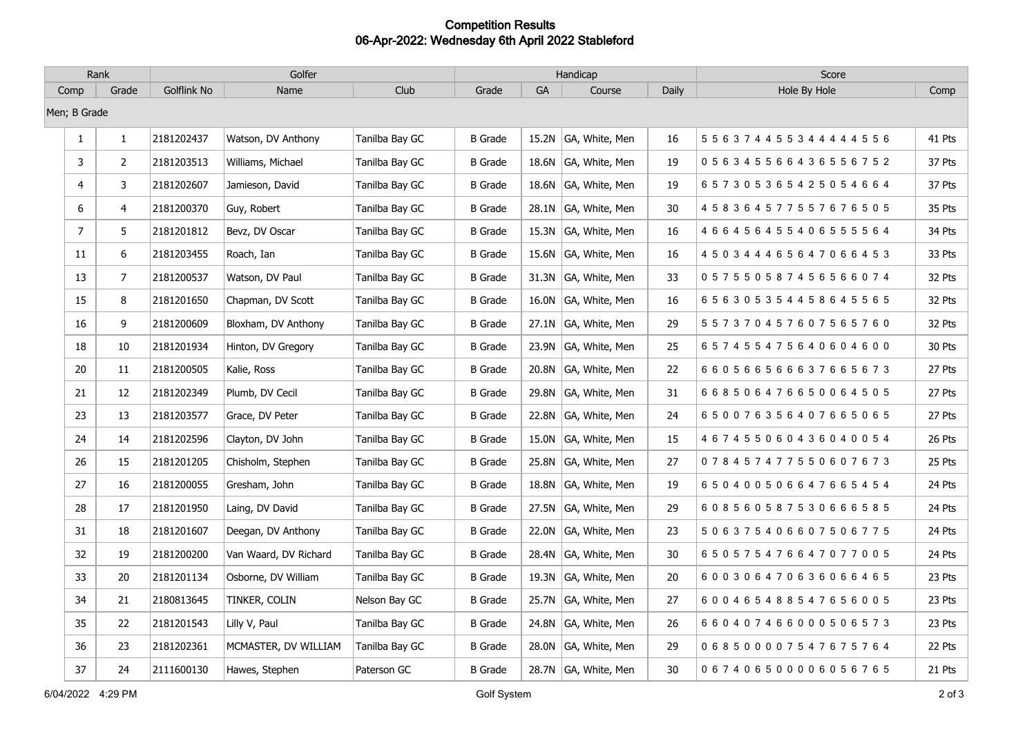## **Competition Results 06-Apr-2022: Wednesday 6th April 2022 Stableford**

| Rank           |                | Golfer      |                       |                | Handicap       |    |                      |       | Score                               |        |
|----------------|----------------|-------------|-----------------------|----------------|----------------|----|----------------------|-------|-------------------------------------|--------|
| Comp           | Grade          | Golflink No | Name                  | Club           | Grade          | GA | Course               | Daily | Hole By Hole                        | Comp   |
| Men; B Grade   |                |             |                       |                |                |    |                      |       |                                     |        |
| $\mathbf{1}$   | $\mathbf{1}$   | 2181202437  | Watson, DV Anthony    | Tanilba Bay GC | <b>B</b> Grade |    | 15.2N GA, White, Men | 16    | 5 5 6 3 7 4 4 5 5 3 4 4 4 4 4 5 5 6 | 41 Pts |
| 3              | $\overline{2}$ | 2181203513  | Williams, Michael     | Tanilba Bay GC | <b>B</b> Grade |    | 18.6N GA, White, Men | 19    | 0 5 6 3 4 5 5 6 6 4 3 6 5 5 6 7 5 2 | 37 Pts |
| 4              | 3              | 2181202607  | Jamieson, David       | Tanilba Bay GC | <b>B</b> Grade |    | 18.6N GA, White, Men | 19    | 657305365425054664                  | 37 Pts |
| 6              | 4              | 2181200370  | Guy, Robert           | Tanilba Bay GC | <b>B</b> Grade |    | 28.1N GA, White, Men | 30    | 4 5 8 3 6 4 5 7 7 5 5 7 6 7 6 5 0 5 | 35 Pts |
| $\overline{7}$ | 5              | 2181201812  | Bevz, DV Oscar        | Tanilba Bay GC | <b>B</b> Grade |    | 15.3N GA, White, Men | 16    | 466456455406555564                  | 34 Pts |
| 11             | 6              | 2181203455  | Roach, Ian            | Tanilba Bay GC | <b>B</b> Grade |    | 15.6N GA, White, Men | 16    | 4 5 0 3 4 4 4 6 5 6 4 7 0 6 6 4 5 3 | 33 Pts |
| 13             | $\overline{7}$ | 2181200537  | Watson, DV Paul       | Tanilba Bay GC | <b>B</b> Grade |    | 31.3N GA, White, Men | 33    | 057550587456566074                  | 32 Pts |
| 15             | 8              | 2181201650  | Chapman, DV Scott     | Tanilba Bay GC | <b>B</b> Grade |    | 16.0N GA, White, Men | 16    | 656305354458645565                  | 32 Pts |
| 16             | 9              | 2181200609  | Bloxham, DV Anthony   | Tanilba Bay GC | <b>B</b> Grade |    | 27.1N GA, White, Men | 29    | 557370457607565760                  | 32 Pts |
| 18             | 10             | 2181201934  | Hinton, DV Gregory    | Tanilba Bay GC | <b>B</b> Grade |    | 23.9N GA, White, Men | 25    | 657455475640604600                  | 30 Pts |
| 20             | 11             | 2181200505  | Kalie, Ross           | Tanilba Bay GC | <b>B</b> Grade |    | 20.8N GA, White, Men | 22    | 660566566637665673                  | 27 Pts |
| 21             | 12             | 2181202349  | Plumb, DV Cecil       | Tanilba Bay GC | <b>B</b> Grade |    | 29.8N GA, White, Men | 31    | 668506476650064505                  | 27 Pts |
| 23             | 13             | 2181203577  | Grace, DV Peter       | Tanilba Bay GC | <b>B</b> Grade |    | 22.8N GA, White, Men | 24    | 650076356407665065                  | 27 Pts |
| 24             | 14             | 2181202596  | Clayton, DV John      | Tanilba Bay GC | <b>B</b> Grade |    | 15.0N GA, White, Men | 15    | 467455060436040054                  | 26 Pts |
| 26             | 15             | 2181201205  | Chisholm, Stephen     | Tanilba Bay GC | <b>B</b> Grade |    | 25.8N GA, White, Men | 27    | 078457477550607673                  | 25 Pts |
| 27             | 16             | 2181200055  | Gresham, John         | Tanilba Bay GC | <b>B</b> Grade |    | 18.8N GA, White, Men | 19    | 650400506647665454                  | 24 Pts |
| 28             | 17             | 2181201950  | Laing, DV David       | Tanilba Bay GC | <b>B</b> Grade |    | 27.5N GA, White, Men | 29    | 608560587530666585                  | 24 Pts |
| 31             | 18             | 2181201607  | Deegan, DV Anthony    | Tanilba Bay GC | <b>B</b> Grade |    | 22.0N GA, White, Men | 23    | 506375406607506775                  | 24 Pts |
| 32             | 19             | 2181200200  | Van Waard, DV Richard | Tanilba Bay GC | <b>B</b> Grade |    | 28.4N GA, White, Men | 30    | 650575476647077005                  | 24 Pts |
| 33             | 20             | 2181201134  | Osborne, DV William   | Tanilba Bay GC | <b>B</b> Grade |    | 19.3N GA, White, Men | 20    | 600306470636066465                  | 23 Pts |
| 34             | 21             | 2180813645  | TINKER, COLIN         | Nelson Bay GC  | <b>B</b> Grade |    | 25.7N GA, White, Men | 27    | 600465488547656005                  | 23 Pts |
| 35             | 22             | 2181201543  | Lilly V, Paul         | Tanilba Bay GC | <b>B</b> Grade |    | 24.8N GA, White, Men | 26    | 6 6 0 4 0 7 4 6 6 0 0 0 5 0 6 5 7 3 | 23 Pts |
| 36             | 23             | 2181202361  | MCMASTER, DV WILLIAM  | Tanilba Bay GC | <b>B</b> Grade |    | 28.0N GA, White, Men | 29    | 068500007547675764                  | 22 Pts |
| 37             | 24             | 2111600130  | Hawes, Stephen        | Paterson GC    | <b>B</b> Grade |    | 28.7N GA, White, Men | 30    | 067406500006056765                  | 21 Pts |